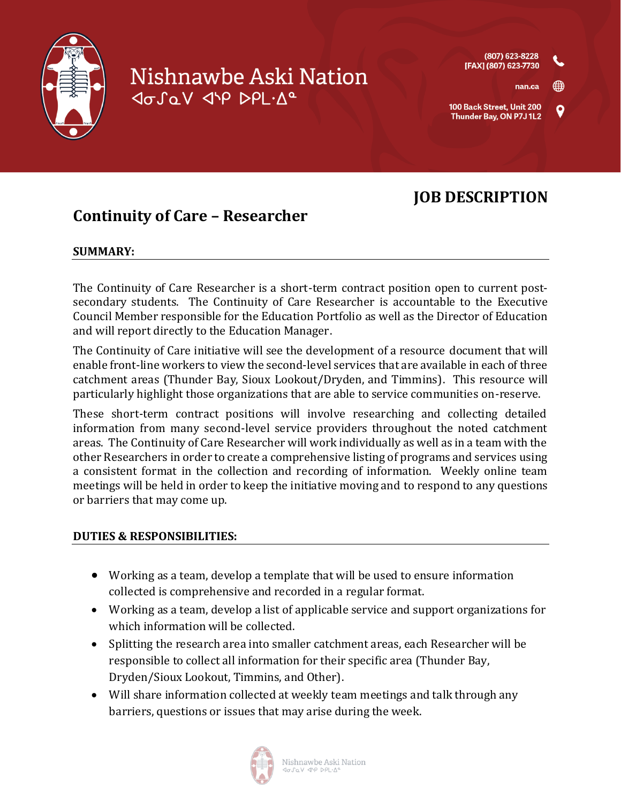

# Nishnawbe Aski Nation Josav Jup DPL.Aº

## **JOB DESCRIPTION**

### **Continuity of Care – Researcher**

#### **SUMMARY:**

The Continuity of Care Researcher is a short-term contract position open to current postsecondary students. The Continuity of Care Researcher is accountable to the Executive Council Member responsible for the Education Portfolio as well as the Director of Education and will report directly to the Education Manager.

The Continuity of Care initiative will see the development of a resource document that will enable front-line workers to view the second-level services that are available in each of three catchment areas (Thunder Bay, Sioux Lookout/Dryden, and Timmins). This resource will particularly highlight those organizations that are able to service communities on-reserve.

These short-term contract positions will involve researching and collecting detailed information from many second-level service providers throughout the noted catchment areas. The Continuity of Care Researcher will work individually as well as in a team with the other Researchers in order to create a comprehensive listing of programs and services using a consistent format in the collection and recording of information. Weekly online team meetings will be held in order to keep the initiative moving and to respond to any questions or barriers that may come up.

#### **DUTIES & RESPONSIBILITIES:**

- Working as a team, develop a template that will be used to ensure information collected is comprehensive and recorded in a regular format.
- Working as a team, develop a list of applicable service and support organizations for which information will be collected.
- Splitting the research area into smaller catchment areas, each Researcher will be responsible to collect all information for their specific area (Thunder Bay, Dryden/Sioux Lookout, Timmins, and Other).
- Will share information collected at weekly team meetings and talk through any barriers, questions or issues that may arise during the week.

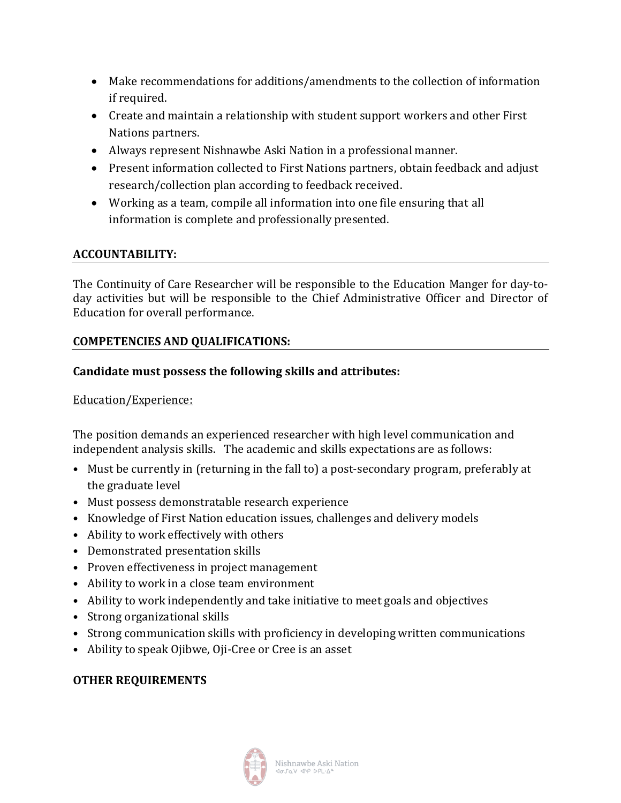- Make recommendations for additions/amendments to the collection of information if required.
- Create and maintain a relationship with student support workers and other First Nations partners.
- Always represent Nishnawbe Aski Nation in a professional manner.
- Present information collected to First Nations partners, obtain feedback and adjust research/collection plan according to feedback received.
- Working as a team, compile all information into one file ensuring that all information is complete and professionally presented.

#### **ACCOUNTABILITY:**

The Continuity of Care Researcher will be responsible to the Education Manger for day-today activities but will be responsible to the Chief Administrative Officer and Director of Education for overall performance.

#### **COMPETENCIES AND QUALIFICATIONS:**

#### **Candidate must possess the following skills and attributes:**

#### Education/Experience:

The position demands an experienced researcher with high level communication and independent analysis skills. The academic and skills expectations are as follows:

- Must be currently in (returning in the fall to) a post-secondary program, preferably at the graduate level
- Must possess demonstratable research experience
- Knowledge of First Nation education issues, challenges and delivery models
- Ability to work effectively with others
- Demonstrated presentation skills
- Proven effectiveness in project management
- Ability to work in a close team environment
- Ability to work independently and take initiative to meet goals and objectives
- Strong organizational skills
- Strong communication skills with proficiency in developing written communications
- Ability to speak Ojibwe, Oji-Cree or Cree is an asset

#### **OTHER REQUIREMENTS**